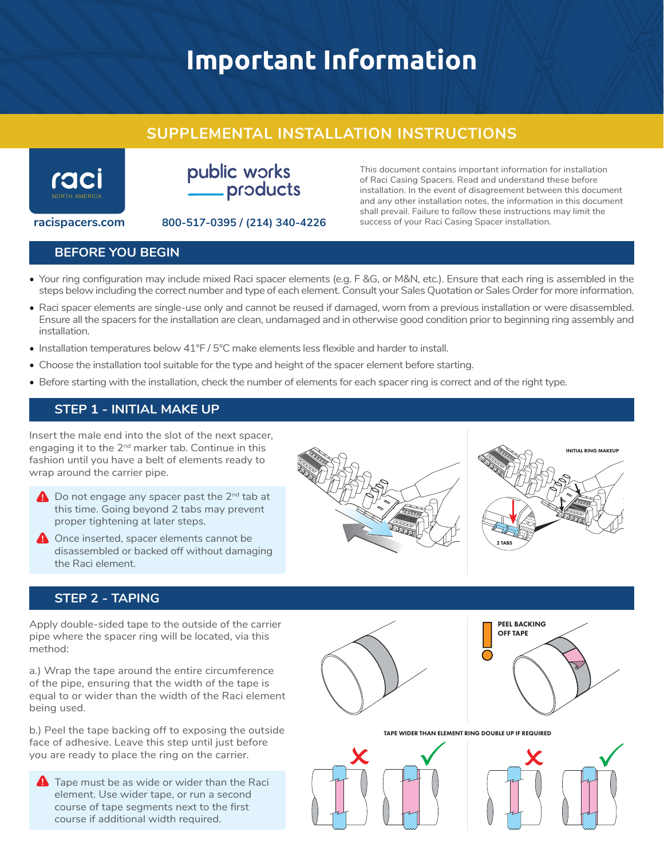# **Important Information**

## **SUPPLEMENTAL INSTALLATION INSTRUCTIONS**



public works<br>
\_\_\_\_ products

This document contains important information for installation of Raci Casing Spacers. Read and understand these before installation. In the event of disagreement between this document and any other installation notes, the information in this document shall prevail. Failure to follow these instructions may limit the success of your Raci Casing Spacer installation.

#### **racispacers.com**

**800-517-0395 / (214) 340-4226**

#### **BEFORE YOU BEGIN**

- Your ring configuration may include mixed Raci spacer elements (e.g. F &G, or M&N, etc.). Ensure that each ring is assembled in the steps below including the correct number and type of each element. Consult your Sales Quotation or Sales Order for more information.
- Raci spacer elements are single-use only and cannot be reused if damaged, worn from a previous installation or were disassembled. Ensure all the spacers for the installation are clean, undamaged and in otherwise good condition prior to beginning ring assembly and installation.
- Installation temperatures below 41°F / 5°C make elements less flexible and harder to install.
- Choose the installation tool suitable for the type and height of the spacer element before starting.
- Before starting with the installation, check the number of elements for each spacer ring is correct and of the right type.

#### **STEP 1 - INITIAL MAKE UP**

Insert the male end into the slot of the next spacer, engaging it to the 2<sup>nd</sup> marker tab. Continue in this fashion until you have a belt of elements ready to wrap around the carrier pipe.

- $\triangle$  Do not engage any spacer past the 2<sup>nd</sup> tab at this time. Going beyond 2 tabs may prevent proper tightening at later steps.
- **A** Once inserted, spacer elements cannot be disassembled or backed off without damaging the Raci element.





### **STEP 2 - TAPING**

Apply double-sided tape to the outside of the carrier pipe where the spacer ring will be located, via this method:

a.) Wrap the tape around the entire circumference of the pipe, ensuring that the width of the tape is equal to or wider than the width of the Raci element being used.

b.) Peel the tape backing off to exposing the outside face of adhesive. Leave this step until just before you are ready to place the ring on the carrier.

**A** Tape must be as wide or wider than the Raci element. Use wider tape, or run a second course of tape segments next to the first course if additional width required.





TAPE WIDER THAN ELEMENT RING DOUBLE UP IF REQUIRED